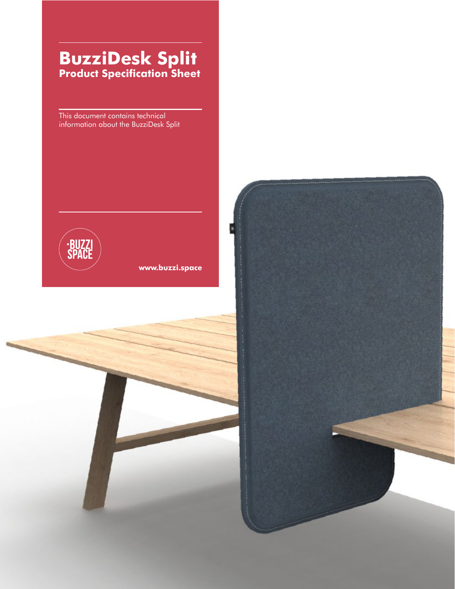## **BuzziDesk Split Product Specification Sheet**

This document contains technical information about the BuzziDesk Split



**[www.buzzi.space](http://www.buzzi.space)**

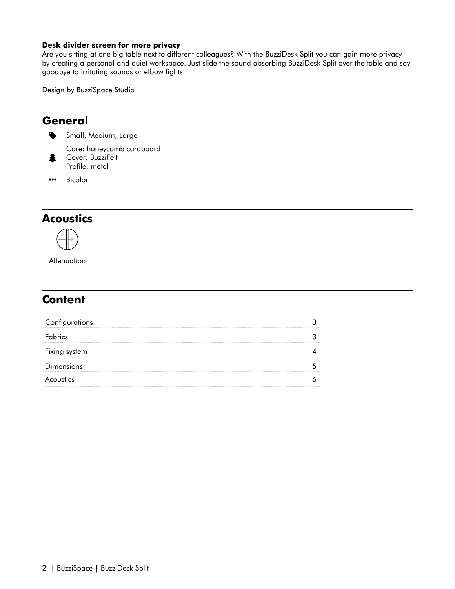#### **Desk divider screen for more privacy**

Are you sitting at one big table next to different colleagues? With the BuzziDesk Split you can gain more privacy by creating a personal and quiet workspace. Just slide the sound absorbing BuzziDesk Split over the table and say goodbye to irritating sounds or elbow fights!

Design by BuzziSpace Studio

#### **General**

≸

Small, Medium, Large

Core: honeycomb cardboard Cover: BuzziFelt Profile: metal

•• Bicolor

#### **Acoustics**



**Attenuation** 

#### **Content**

| Configurations    |  |
|-------------------|--|
| <b>F</b> abrics   |  |
| Fixing system     |  |
| <b>Dimensions</b> |  |
| Acoustics         |  |
|                   |  |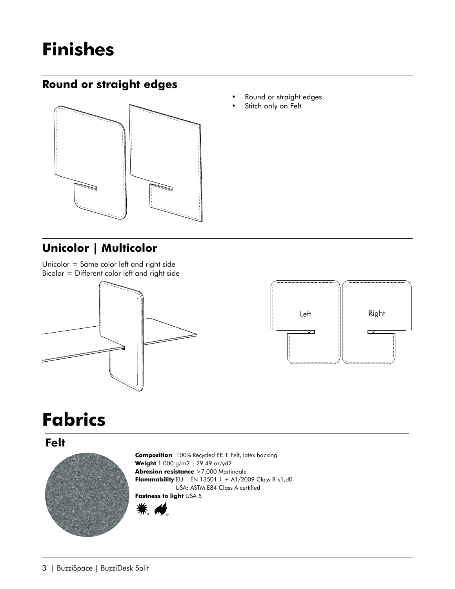# <span id="page-2-0"></span>**Finishes**

#### **Round or straight edges**



#### **Unicolor | Multicolor**

Unicolor = Same color left and right side Bicolor = Different color left and right side





# **Fabrics**

**Felt**



**Composition** 100% Recycled P.E.T. Felt, latex backing **Weight** 1.000 g/m2 | 29.49 oz/yd2 **Abrasion resistance** >7.000 Martindale **Flammability** EU: EN 13501.1 + A1/2009 Class B-s1,d0 USA: ASTM E84 Class A certified **Fastness to light** USA 5



- Round or straight edges
- Stitch only on Felt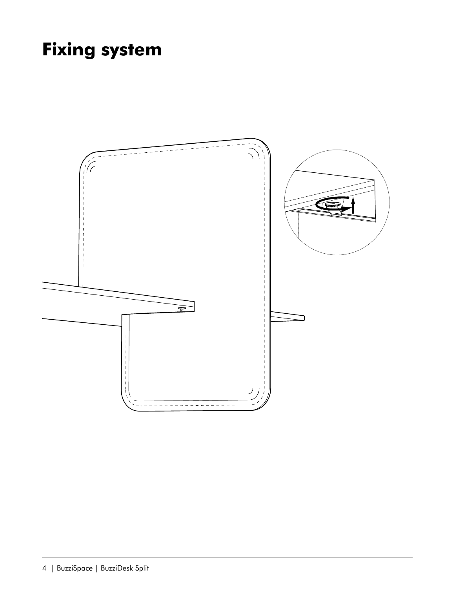# **Fixing system**

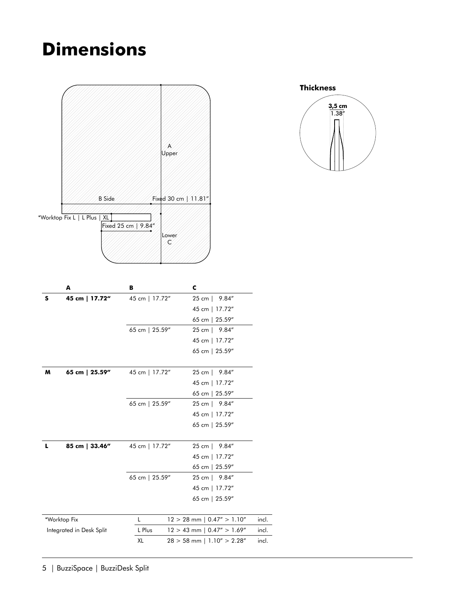## <span id="page-4-0"></span>**Dimensions**